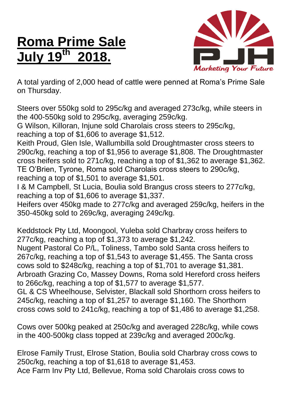## **Roma Prime Sale July 19 th 2018.**



A total yarding of 2,000 head of cattle were penned at Roma's Prime Sale on Thursday.

Steers over 550kg sold to 295c/kg and averaged 273c/kg, while steers in the 400-550kg sold to 295c/kg, averaging 259c/kg.

G Wilson, Killoran, Injune sold Charolais cross steers to 295c/kg, reaching a top of \$1,606 to average \$1,512.

Keith Proud, Glen Isle, Wallumbilla sold Droughtmaster cross steers to 290c/kg, reaching a top of \$1,956 to average \$1,808. The Droughtmaster cross heifers sold to 271c/kg, reaching a top of \$1,362 to average \$1,362. TE O'Brien, Tyrone, Roma sold Charolais cross steers to 290c/kg, reaching a top of \$1,501 to average \$1,501.

I & M Campbell, St Lucia, Boulia sold Brangus cross steers to 277c/kg, reaching a top of \$1,606 to average \$1,337.

Heifers over 450kg made to 277c/kg and averaged 259c/kg, heifers in the 350-450kg sold to 269c/kg, averaging 249c/kg.

Keddstock Pty Ltd, Moongool, Yuleba sold Charbray cross heifers to 277c/kg, reaching a top of \$1,373 to average \$1,242.

Nugent Pastoral Co P/L, Toliness, Tambo sold Santa cross heifers to 267c/kg, reaching a top of \$1,543 to average \$1,455. The Santa cross cows sold to \$248c/kg, reaching a top of \$1,701 to average \$1,381. Arbroath Grazing Co, Massey Downs, Roma sold Hereford cross heifers to 266c/kg, reaching a top of \$1,577 to average \$1,577.

GL & CS Wheelhouse, Selvister, Blackall sold Shorthorn cross heifers to 245c/kg, reaching a top of \$1,257 to average \$1,160. The Shorthorn cross cows sold to 241c/kg, reaching a top of \$1,486 to average \$1,258.

Cows over 500kg peaked at 250c/kg and averaged 228c/kg, while cows in the 400-500kg class topped at 239c/kg and averaged 200c/kg.

Elrose Family Trust, Elrose Station, Boulia sold Charbray cross cows to 250c/kg, reaching a top of \$1,618 to average \$1,453. Ace Farm Inv Pty Ltd, Bellevue, Roma sold Charolais cross cows to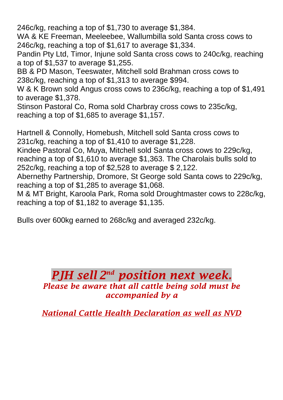246c/kg, reaching a top of \$1,730 to average \$1,384.

WA & KE Freeman, Meeleebee, Wallumbilla sold Santa cross cows to 246c/kg, reaching a top of \$1,617 to average \$1,334.

Pandin Pty Ltd, Timor, Injune sold Santa cross cows to 240c/kg, reaching a top of \$1,537 to average \$1,255.

BB & PD Mason, Teeswater, Mitchell sold Brahman cross cows to 238c/kg, reaching a top of \$1,313 to average \$994.

W & K Brown sold Angus cross cows to 236c/kg, reaching a top of \$1,491 to average \$1,378.

Stinson Pastoral Co, Roma sold Charbray cross cows to 235c/kg, reaching a top of \$1,685 to average \$1,157.

Hartnell & Connolly, Homebush, Mitchell sold Santa cross cows to 231c/kg, reaching a top of \$1,410 to average \$1,228.

Kindee Pastoral Co, Muya, Mitchell sold Santa cross cows to 229c/kg, reaching a top of \$1,610 to average \$1,363. The Charolais bulls sold to 252c/kg, reaching a top of \$2,528 to average \$ 2,122.

Abernethy Partnership, Dromore, St George sold Santa cows to 229c/kg, reaching a top of \$1,285 to average \$1,068.

M & MT Bright, Karoola Park, Roma sold Droughtmaster cows to 228c/kg, reaching a top of \$1,182 to average \$1,135.

Bulls over 600kg earned to 268c/kg and averaged 232c/kg.

## *PJH sell 2 nd position next week. Please be aware that all cattle being sold must be accompanied by a*

*National Cattle Health Declaration as well as NVD*